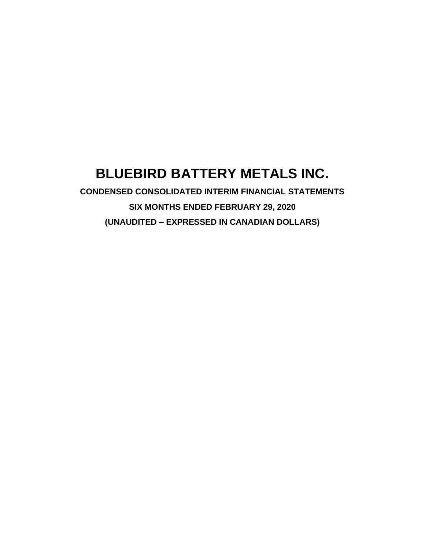# **BLUEBIRD BATTERY METALS INC.**

**CONDENSED CONSOLIDATED INTERIM FINANCIAL STATEMENTS SIX MONTHS ENDED FEBRUARY 29, 2020 (UNAUDITED – EXPRESSED IN CANADIAN DOLLARS)**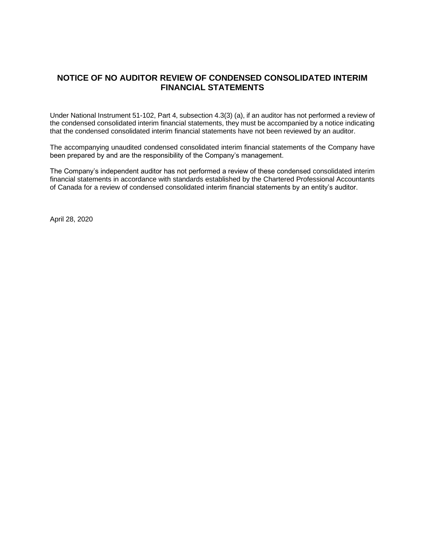# **NOTICE OF NO AUDITOR REVIEW OF CONDENSED CONSOLIDATED INTERIM FINANCIAL STATEMENTS**

Under National Instrument 51-102, Part 4, subsection 4.3(3) (a), if an auditor has not performed a review of the condensed consolidated interim financial statements, they must be accompanied by a notice indicating that the condensed consolidated interim financial statements have not been reviewed by an auditor.

The accompanying unaudited condensed consolidated interim financial statements of the Company have been prepared by and are the responsibility of the Company's management.

The Company's independent auditor has not performed a review of these condensed consolidated interim financial statements in accordance with standards established by the Chartered Professional Accountants of Canada for a review of condensed consolidated interim financial statements by an entity's auditor.

April 28, 2020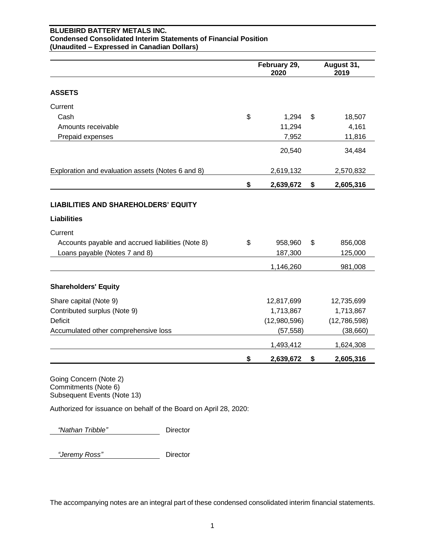## **BLUEBIRD BATTERY METALS INC. Condensed Consolidated Interim Statements of Financial Position (Unaudited – Expressed in Canadian Dollars)**

|                                                                   | February 29,<br>2020 | August 31,<br>2019 |
|-------------------------------------------------------------------|----------------------|--------------------|
| <b>ASSETS</b>                                                     |                      |                    |
| Current                                                           |                      |                    |
| Cash                                                              | \$<br>1,294          | \$<br>18,507       |
| Amounts receivable                                                | 11,294               | 4,161              |
| Prepaid expenses                                                  | 7,952                | 11,816             |
|                                                                   | 20,540               | 34,484             |
| Exploration and evaluation assets (Notes 6 and 8)                 | 2,619,132            | 2,570,832          |
|                                                                   | \$<br>2,639,672      | \$<br>2,605,316    |
| <b>LIABILITIES AND SHAREHOLDERS' EQUITY</b><br><b>Liabilities</b> |                      |                    |
|                                                                   |                      |                    |
| Current                                                           |                      |                    |
| Accounts payable and accrued liabilities (Note 8)                 | \$<br>958,960        | \$<br>856,008      |
| Loans payable (Notes 7 and 8)                                     | 187,300              | 125,000            |
|                                                                   | 1,146,260            | 981,008            |
| <b>Shareholders' Equity</b>                                       |                      |                    |
| Share capital (Note 9)                                            | 12,817,699           | 12,735,699         |
| Contributed surplus (Note 9)                                      | 1,713,867            | 1,713,867          |
| <b>Deficit</b>                                                    | (12,980,596)         | (12,786,598)       |
| Accumulated other comprehensive loss                              | (57, 558)            | (38,660)           |
|                                                                   | 1,493,412            | 1,624,308          |
|                                                                   | \$<br>2,639,672      | \$<br>2,605,316    |

Going Concern (Note 2) Commitments (Note 6) Subsequent Events (Note 13)

Authorized for issuance on behalf of the Board on April 28, 2020:

 *"Nathan Tribble"* Director

 *"Jeremy Ross"* Director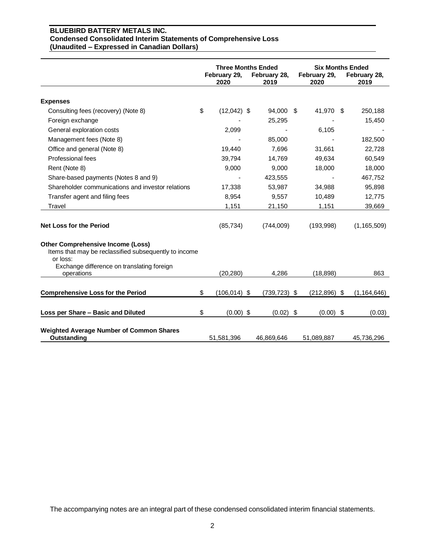#### **BLUEBIRD BATTERY METALS INC. Condensed Consolidated Interim Statements of Comprehensive Loss (Unaudited – Expressed in Canadian Dollars)**

|                                                                                                               | <b>Three Months Ended</b><br>February 29,<br>February 28,<br>2020<br>2019 |  | <b>Six Months Ended</b><br>February 29,<br>2020 |                   | February 28,<br>2019 |               |
|---------------------------------------------------------------------------------------------------------------|---------------------------------------------------------------------------|--|-------------------------------------------------|-------------------|----------------------|---------------|
| <b>Expenses</b>                                                                                               |                                                                           |  |                                                 |                   |                      |               |
| Consulting fees (recovery) (Note 8)                                                                           | \$<br>$(12,042)$ \$                                                       |  | 94,000 \$                                       | 41,970 \$         |                      | 250,188       |
| Foreign exchange                                                                                              |                                                                           |  | 25,295                                          |                   |                      | 15,450        |
| General exploration costs                                                                                     | 2,099                                                                     |  |                                                 | 6,105             |                      |               |
| Management fees (Note 8)                                                                                      |                                                                           |  | 85,000                                          |                   |                      | 182,500       |
| Office and general (Note 8)                                                                                   | 19,440                                                                    |  | 7,696                                           | 31,661            |                      | 22,728        |
| Professional fees                                                                                             | 39.794                                                                    |  | 14,769                                          | 49,634            |                      | 60,549        |
| Rent (Note 8)                                                                                                 | 9,000                                                                     |  | 9,000                                           | 18,000            |                      | 18,000        |
| Share-based payments (Notes 8 and 9)                                                                          |                                                                           |  | 423,555                                         |                   |                      | 467,752       |
| Shareholder communications and investor relations                                                             | 17,338                                                                    |  | 53,987                                          | 34,988            |                      | 95,898        |
| Transfer agent and filing fees                                                                                | 8,954                                                                     |  | 9,557                                           | 10,489            |                      | 12,775        |
| Travel                                                                                                        | 1,151                                                                     |  | 21,150                                          | 1,151             |                      | 39,669        |
| <b>Net Loss for the Period</b>                                                                                | (85, 734)                                                                 |  | (744,009)                                       | (193,998)         |                      | (1, 165, 509) |
| <b>Other Comprehensive Income (Loss)</b><br>Items that may be reclassified subsequently to income<br>or loss: |                                                                           |  |                                                 |                   |                      |               |
| Exchange difference on translating foreign<br>operations                                                      | (20, 280)                                                                 |  | 4.286                                           | (18, 898)         |                      | 863           |
| <b>Comprehensive Loss for the Period</b>                                                                      | \$<br>$(106, 014)$ \$                                                     |  | $(739, 723)$ \$                                 | $(212,896)$ \$    |                      | (1, 164, 646) |
| Loss per Share - Basic and Diluted                                                                            | \$<br>$(0.00)$ \$                                                         |  | (0.02)                                          | \$<br>$(0.00)$ \$ |                      | (0.03)        |
| <b>Weighted Average Number of Common Shares</b><br>Outstanding                                                | 51,581,396                                                                |  | 46,869,646                                      | 51,089,887        |                      | 45,736,296    |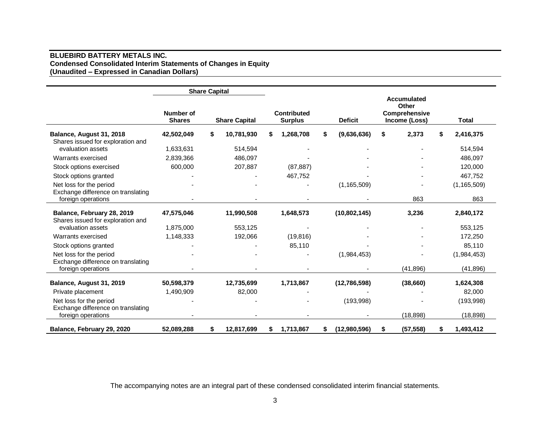## **BLUEBIRD BATTERY METALS INC. Condensed Consolidated Interim Statements of Changes in Equity (Unaudited – Expressed in Canadian Dollars)**

|                                                                 |                            | <b>Share Capital</b> |                      |                                      |                    |    |                                                                      |                 |
|-----------------------------------------------------------------|----------------------------|----------------------|----------------------|--------------------------------------|--------------------|----|----------------------------------------------------------------------|-----------------|
|                                                                 | Number of<br><b>Shares</b> |                      | <b>Share Capital</b> | <b>Contributed</b><br><b>Surplus</b> | <b>Deficit</b>     |    | <b>Accumulated</b><br>Other<br><b>Comprehensive</b><br>Income (Loss) | <b>Total</b>    |
| Balance, August 31, 2018<br>Shares issued for exploration and   | 42,502,049                 | \$                   | 10,781,930           | \$<br>1,268,708                      | \$<br>(9,636,636)  | \$ | 2,373                                                                | 2,416,375       |
| evaluation assets                                               | 1,633,631                  |                      | 514,594              |                                      |                    |    |                                                                      | 514,594         |
| Warrants exercised                                              | 2,839,366                  |                      | 486,097              |                                      |                    |    |                                                                      | 486,097         |
| Stock options exercised                                         | 600,000                    |                      | 207,887              | (87, 887)                            |                    |    |                                                                      | 120,000         |
| Stock options granted                                           |                            |                      |                      | 467,752                              |                    |    |                                                                      | 467,752         |
| Net loss for the period<br>Exchange difference on translating   |                            |                      |                      |                                      | (1, 165, 509)      |    |                                                                      | (1, 165, 509)   |
| foreign operations                                              |                            |                      |                      |                                      |                    |    | 863                                                                  | 863             |
| Balance, February 28, 2019<br>Shares issued for exploration and | 47,575,046                 |                      | 11,990,508           | 1,648,573                            | (10,802,145)       |    | 3,236                                                                | 2,840,172       |
| evaluation assets                                               | 1,875,000                  |                      | 553,125              |                                      |                    |    |                                                                      | 553,125         |
| Warrants exercised                                              | 1,148,333                  |                      | 192,066              | (19, 816)                            |                    |    |                                                                      | 172,250         |
| Stock options granted                                           |                            |                      |                      | 85,110                               |                    |    |                                                                      | 85,110          |
| Net loss for the period<br>Exchange difference on translating   |                            |                      |                      |                                      | (1,984,453)        |    |                                                                      | (1,984,453)     |
| foreign operations                                              |                            |                      |                      |                                      |                    |    | (41, 896)                                                            | (41, 896)       |
| Balance, August 31, 2019                                        | 50,598,379                 |                      | 12,735,699           | 1,713,867                            | (12,786,598)       |    | (38,660)                                                             | 1,624,308       |
| Private placement                                               | 1,490,909                  |                      | 82,000               |                                      |                    |    |                                                                      | 82,000          |
| Net loss for the period<br>Exchange difference on translating   |                            |                      |                      |                                      | (193,998)          |    |                                                                      | (193,998)       |
| foreign operations                                              |                            |                      |                      |                                      |                    |    | (18, 898)                                                            | (18, 898)       |
| Balance, February 29, 2020                                      | 52,089,288                 | \$                   | 12,817,699           | \$<br>1,713,867                      | \$<br>(12,980,596) | S  | (57, 558)                                                            | \$<br>1,493,412 |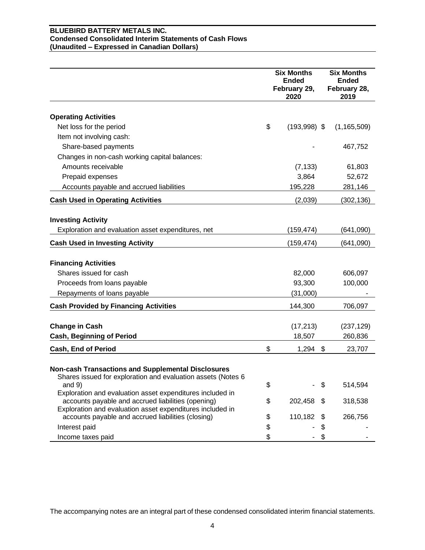## **BLUEBIRD BATTERY METALS INC. Condensed Consolidated Interim Statements of Cash Flows (Unaudited – Expressed in Canadian Dollars)**

|                                                                                                                 | <b>Six Months</b>                    | <b>Six Months</b>                    |
|-----------------------------------------------------------------------------------------------------------------|--------------------------------------|--------------------------------------|
|                                                                                                                 | <b>Ended</b><br>February 29,<br>2020 | <b>Ended</b><br>February 28,<br>2019 |
|                                                                                                                 |                                      |                                      |
| <b>Operating Activities</b>                                                                                     |                                      |                                      |
| Net loss for the period                                                                                         | \$<br>$(193,998)$ \$                 | (1, 165, 509)                        |
| Item not involving cash:                                                                                        |                                      |                                      |
| Share-based payments                                                                                            |                                      | 467,752                              |
| Changes in non-cash working capital balances:                                                                   |                                      |                                      |
| Amounts receivable                                                                                              | (7, 133)                             | 61,803                               |
| Prepaid expenses                                                                                                | 3,864                                | 52,672                               |
| Accounts payable and accrued liabilities                                                                        | 195,228                              | 281,146                              |
| <b>Cash Used in Operating Activities</b>                                                                        | (2,039)                              | (302, 136)                           |
|                                                                                                                 |                                      |                                      |
| <b>Investing Activity</b>                                                                                       |                                      |                                      |
| Exploration and evaluation asset expenditures, net                                                              | (159, 474)                           | (641,090)                            |
| <b>Cash Used in Investing Activity</b>                                                                          | (159,474)                            | (641,090)                            |
| <b>Financing Activities</b>                                                                                     |                                      |                                      |
| Shares issued for cash                                                                                          | 82,000                               | 606,097                              |
| Proceeds from loans payable                                                                                     | 93,300                               | 100,000                              |
| Repayments of loans payable                                                                                     | (31,000)                             |                                      |
| <b>Cash Provided by Financing Activities</b>                                                                    | 144,300                              | 706,097                              |
|                                                                                                                 |                                      |                                      |
| <b>Change in Cash</b>                                                                                           | (17, 213)                            | (237, 129)                           |
| <b>Cash, Beginning of Period</b>                                                                                | 18,507                               | 260,836                              |
| Cash, End of Period                                                                                             | \$<br>$1,294$ \$                     | 23,707                               |
|                                                                                                                 |                                      |                                      |
| Non-cash Transactions and Supplemental Disclosures                                                              |                                      |                                      |
| Shares issued for exploration and evaluation assets (Notes 6                                                    |                                      |                                      |
| and $9)$                                                                                                        | \$                                   | \$<br>514,594                        |
| Exploration and evaluation asset expenditures included in<br>accounts payable and accrued liabilities (opening) | \$<br>202,458                        | \$<br>318,538                        |
| Exploration and evaluation asset expenditures included in                                                       |                                      |                                      |
| accounts payable and accrued liabilities (closing)                                                              | \$<br>110,182                        | 266,756                              |
| Interest paid                                                                                                   | \$                                   | \$                                   |
| Income taxes paid                                                                                               | \$                                   |                                      |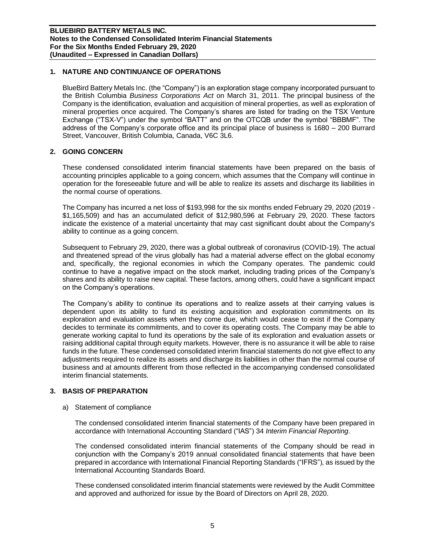# **1. NATURE AND CONTINUANCE OF OPERATIONS**

BlueBird Battery Metals Inc. (the "Company") is an exploration stage company incorporated pursuant to the British Columbia *Business Corporations Act* on March 31, 2011. The principal business of the Company is the identification, evaluation and acquisition of mineral properties, as well as exploration of mineral properties once acquired. The Company's shares are listed for trading on the TSX Venture Exchange ("TSX-V") under the symbol "BATT" and on the OTCQB under the symbol "BBBMF". The address of the Company's corporate office and its principal place of business is 1680 – 200 Burrard Street, Vancouver, British Columbia, Canada, V6C 3L6.

# **2. GOING CONCERN**

These condensed consolidated interim financial statements have been prepared on the basis of accounting principles applicable to a going concern, which assumes that the Company will continue in operation for the foreseeable future and will be able to realize its assets and discharge its liabilities in the normal course of operations.

The Company has incurred a net loss of \$193,998 for the six months ended February 29, 2020 (2019 - \$1,165,509) and has an accumulated deficit of \$12,980,596 at February 29, 2020. These factors indicate the existence of a material uncertainty that may cast significant doubt about the Company's ability to continue as a going concern.

Subsequent to February 29, 2020, there was a global outbreak of coronavirus (COVID-19). The actual and threatened spread of the virus globally has had a material adverse effect on the global economy and, specifically, the regional economies in which the Company operates. The pandemic could continue to have a negative impact on the stock market, including trading prices of the Company's shares and its ability to raise new capital. These factors, among others, could have a significant impact on the Company's operations.

The Company's ability to continue its operations and to realize assets at their carrying values is dependent upon its ability to fund its existing acquisition and exploration commitments on its exploration and evaluation assets when they come due, which would cease to exist if the Company decides to terminate its commitments, and to cover its operating costs. The Company may be able to generate working capital to fund its operations by the sale of its exploration and evaluation assets or raising additional capital through equity markets. However, there is no assurance it will be able to raise funds in the future. These condensed consolidated interim financial statements do not give effect to any adjustments required to realize its assets and discharge its liabilities in other than the normal course of business and at amounts different from those reflected in the accompanying condensed consolidated interim financial statements.

## **3. BASIS OF PREPARATION**

a) Statement of compliance

The condensed consolidated interim financial statements of the Company have been prepared in accordance with International Accounting Standard ("IAS") 34 *Interim Financial Reporting*.

The condensed consolidated interim financial statements of the Company should be read in conjunction with the Company's 2019 annual consolidated financial statements that have been prepared in accordance with International Financial Reporting Standards ("IFRS"), as issued by the International Accounting Standards Board.

These condensed consolidated interim financial statements were reviewed by the Audit Committee and approved and authorized for issue by the Board of Directors on April 28, 2020.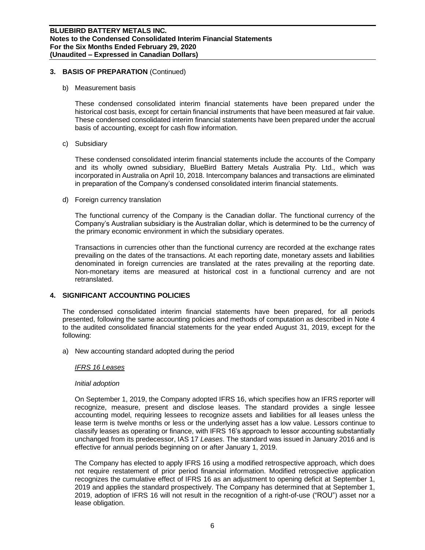## **3. BASIS OF PREPARATION** (Continued)

b) Measurement basis

These condensed consolidated interim financial statements have been prepared under the historical cost basis, except for certain financial instruments that have been measured at fair value. These condensed consolidated interim financial statements have been prepared under the accrual basis of accounting, except for cash flow information.

c) Subsidiary

These condensed consolidated interim financial statements include the accounts of the Company and its wholly owned subsidiary, BlueBird Battery Metals Australia Pty. Ltd., which was incorporated in Australia on April 10, 2018. Intercompany balances and transactions are eliminated in preparation of the Company's condensed consolidated interim financial statements.

d) Foreign currency translation

The functional currency of the Company is the Canadian dollar. The functional currency of the Company's Australian subsidiary is the Australian dollar, which is determined to be the currency of the primary economic environment in which the subsidiary operates.

Transactions in currencies other than the functional currency are recorded at the exchange rates prevailing on the dates of the transactions. At each reporting date, monetary assets and liabilities denominated in foreign currencies are translated at the rates prevailing at the reporting date. Non-monetary items are measured at historical cost in a functional currency and are not retranslated.

## **4. SIGNIFICANT ACCOUNTING POLICIES**

The condensed consolidated interim financial statements have been prepared, for all periods presented, following the same accounting policies and methods of computation as described in Note 4 to the audited consolidated financial statements for the year ended August 31, 2019, except for the following:

a) New accounting standard adopted during the period

## *IFRS 16 Leases*

## *Initial adoption*

On September 1, 2019, the Company adopted IFRS 16, which specifies how an IFRS reporter will recognize, measure, present and disclose leases. The standard provides a single lessee accounting model, requiring lessees to recognize assets and liabilities for all leases unless the lease term is twelve months or less or the underlying asset has a low value. Lessors continue to classify leases as operating or finance, with IFRS 16's approach to lessor accounting substantially unchanged from its predecessor, IAS 17 *Leases*. The standard was issued in January 2016 and is effective for annual periods beginning on or after January 1, 2019.

The Company has elected to apply IFRS 16 using a modified retrospective approach, which does not require restatement of prior period financial information. Modified retrospective application recognizes the cumulative effect of IFRS 16 as an adjustment to opening deficit at September 1, 2019 and applies the standard prospectively. The Company has determined that at September 1, 2019, adoption of IFRS 16 will not result in the recognition of a right-of-use ("ROU") asset nor a lease obligation.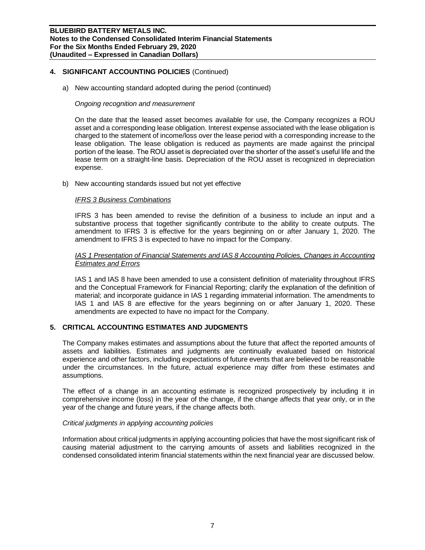## **4. SIGNIFICANT ACCOUNTING POLICIES** (Continued)

a) New accounting standard adopted during the period (continued)

## *Ongoing recognition and measurement*

On the date that the leased asset becomes available for use, the Company recognizes a ROU asset and a corresponding lease obligation. Interest expense associated with the lease obligation is charged to the statement of income/loss over the lease period with a corresponding increase to the lease obligation. The lease obligation is reduced as payments are made against the principal portion of the lease. The ROU asset is depreciated over the shorter of the asset's useful life and the lease term on a straight-line basis. Depreciation of the ROU asset is recognized in depreciation expense.

b) New accounting standards issued but not yet effective

## *IFRS 3 Business Combinations*

IFRS 3 has been amended to revise the definition of a business to include an input and a substantive process that together significantly contribute to the ability to create outputs. The amendment to IFRS 3 is effective for the years beginning on or after January 1, 2020. The amendment to IFRS 3 is expected to have no impact for the Company.

## *IAS 1 Presentation of Financial Statements and IAS 8 Accounting Policies, Changes in Accounting Estimates and Errors*

IAS 1 and IAS 8 have been amended to use a consistent definition of materiality throughout IFRS and the Conceptual Framework for Financial Reporting; clarify the explanation of the definition of material; and incorporate guidance in IAS 1 regarding immaterial information. The amendments to IAS 1 and IAS 8 are effective for the years beginning on or after January 1, 2020. These amendments are expected to have no impact for the Company.

## **5. CRITICAL ACCOUNTING ESTIMATES AND JUDGMENTS**

The Company makes estimates and assumptions about the future that affect the reported amounts of assets and liabilities. Estimates and judgments are continually evaluated based on historical experience and other factors, including expectations of future events that are believed to be reasonable under the circumstances. In the future, actual experience may differ from these estimates and assumptions.

The effect of a change in an accounting estimate is recognized prospectively by including it in comprehensive income (loss) in the year of the change, if the change affects that year only, or in the year of the change and future years, if the change affects both.

## *Critical judgments in applying accounting policies*

Information about critical judgments in applying accounting policies that have the most significant risk of causing material adjustment to the carrying amounts of assets and liabilities recognized in the condensed consolidated interim financial statements within the next financial year are discussed below.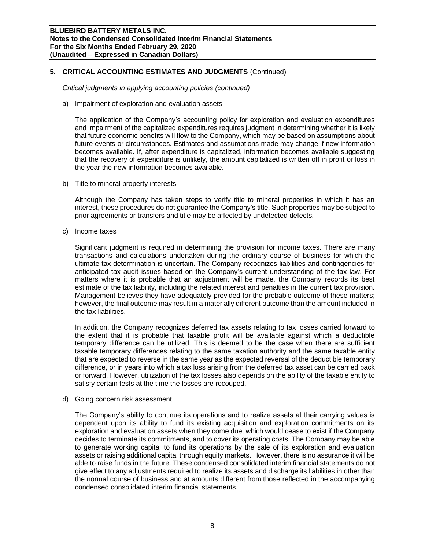## **5. CRITICAL ACCOUNTING ESTIMATES AND JUDGMENTS** (Continued)

*Critical judgments in applying accounting policies (continued)*

a) Impairment of exploration and evaluation assets

The application of the Company's accounting policy for exploration and evaluation expenditures and impairment of the capitalized expenditures requires judgment in determining whether it is likely that future economic benefits will flow to the Company, which may be based on assumptions about future events or circumstances. Estimates and assumptions made may change if new information becomes available. If, after expenditure is capitalized, information becomes available suggesting that the recovery of expenditure is unlikely, the amount capitalized is written off in profit or loss in the year the new information becomes available.

b) Title to mineral property interests

Although the Company has taken steps to verify title to mineral properties in which it has an interest, these procedures do not guarantee the Company's title. Such properties may be subject to prior agreements or transfers and title may be affected by undetected defects.

c) Income taxes

Significant judgment is required in determining the provision for income taxes. There are many transactions and calculations undertaken during the ordinary course of business for which the ultimate tax determination is uncertain. The Company recognizes liabilities and contingencies for anticipated tax audit issues based on the Company's current understanding of the tax law. For matters where it is probable that an adjustment will be made, the Company records its best estimate of the tax liability, including the related interest and penalties in the current tax provision. Management believes they have adequately provided for the probable outcome of these matters; however, the final outcome may result in a materially different outcome than the amount included in the tax liabilities.

In addition, the Company recognizes deferred tax assets relating to tax losses carried forward to the extent that it is probable that taxable profit will be available against which a deductible temporary difference can be utilized. This is deemed to be the case when there are sufficient taxable temporary differences relating to the same taxation authority and the same taxable entity that are expected to reverse in the same year as the expected reversal of the deductible temporary difference, or in years into which a tax loss arising from the deferred tax asset can be carried back or forward. However, utilization of the tax losses also depends on the ability of the taxable entity to satisfy certain tests at the time the losses are recouped.

## d) Going concern risk assessment

The Company's ability to continue its operations and to realize assets at their carrying values is dependent upon its ability to fund its existing acquisition and exploration commitments on its exploration and evaluation assets when they come due, which would cease to exist if the Company decides to terminate its commitments, and to cover its operating costs. The Company may be able to generate working capital to fund its operations by the sale of its exploration and evaluation assets or raising additional capital through equity markets. However, there is no assurance it will be able to raise funds in the future. These condensed consolidated interim financial statements do not give effect to any adjustments required to realize its assets and discharge its liabilities in other than the normal course of business and at amounts different from those reflected in the accompanying condensed consolidated interim financial statements.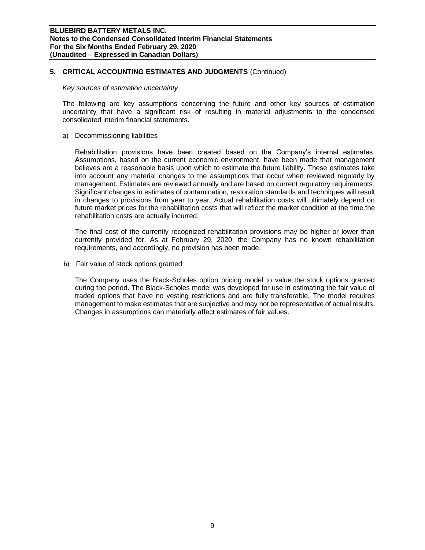## **5. CRITICAL ACCOUNTING ESTIMATES AND JUDGMENTS** (Continued)

## *Key sources of estimation uncertainty*

The following are key assumptions concerning the future and other key sources of estimation uncertainty that have a significant risk of resulting in material adjustments to the condensed consolidated interim financial statements.

a) Decommissioning liabilities

Rehabilitation provisions have been created based on the Company's internal estimates. Assumptions, based on the current economic environment, have been made that management believes are a reasonable basis upon which to estimate the future liability. These estimates take into account any material changes to the assumptions that occur when reviewed regularly by management. Estimates are reviewed annually and are based on current regulatory requirements. Significant changes in estimates of contamination, restoration standards and techniques will result in changes to provisions from year to year. Actual rehabilitation costs will ultimately depend on future market prices for the rehabilitation costs that will reflect the market condition at the time the rehabilitation costs are actually incurred.

The final cost of the currently recognized rehabilitation provisions may be higher or lower than currently provided for. As at February 29, 2020, the Company has no known rehabilitation requirements, and accordingly, no provision has been made.

b) Fair value of stock options granted

The Company uses the Black-Scholes option pricing model to value the stock options granted during the period. The Black-Scholes model was developed for use in estimating the fair value of traded options that have no vesting restrictions and are fully transferable. The model requires management to make estimates that are subjective and may not be representative of actual results. Changes in assumptions can materially affect estimates of fair values.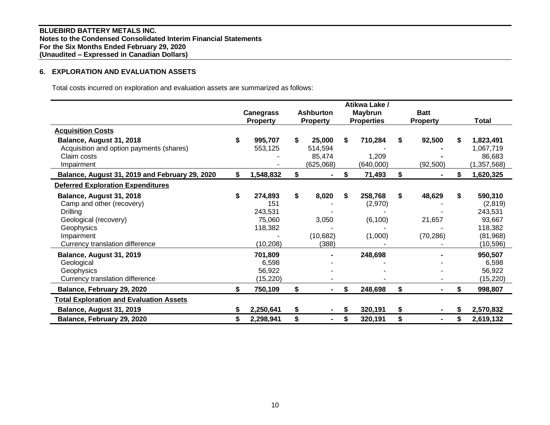# **6. EXPLORATION AND EVALUATION ASSETS**

Total costs incurred on exploration and evaluation assets are summarized as follows:

|                                                |    |                  |    |                  |    | Atikwa Lake /     |                      |    |               |
|------------------------------------------------|----|------------------|----|------------------|----|-------------------|----------------------|----|---------------|
|                                                |    | <b>Canegrass</b> |    | <b>Ashburton</b> |    | <b>Maybrun</b>    | <b>Batt</b>          |    | Total         |
|                                                |    | <b>Property</b>  |    | <b>Property</b>  |    | <b>Properties</b> | <b>Property</b>      |    |               |
| <b>Acquisition Costs</b>                       |    |                  |    |                  |    |                   |                      |    |               |
| Balance, August 31, 2018                       |    | 995,707          | S. | 25,000           | S  | 710,284           | \$<br>92,500         | \$ | 1,823,491     |
| Acquisition and option payments (shares)       |    | 553,125          |    | 514,594          |    |                   |                      |    | 1,067,719     |
| Claim costs                                    |    |                  |    | 85,474           |    | 1,209             |                      |    | 86,683        |
| Impairment                                     |    |                  |    | (625,068)        |    | (640,000)         | (92, 500)            |    | (1, 357, 568) |
| Balance, August 31, 2019 and February 29, 2020 | \$ | 1,548,832        | \$ |                  | \$ | 71,493            | \$<br>$\blacksquare$ | \$ | 1,620,325     |
| <b>Deferred Exploration Expenditures</b>       |    |                  |    |                  |    |                   |                      |    |               |
| Balance, August 31, 2018                       | \$ | 274,893          | \$ | 8,020            | S. | 258,768           | \$<br>48,629         | \$ | 590,310       |
| Camp and other (recovery)                      |    | 151              |    |                  |    | (2,970)           |                      |    | (2,819)       |
| Drilling                                       |    | 243,531          |    |                  |    |                   |                      |    | 243,531       |
| Geological (recovery)                          |    | 75,060           |    | 3,050            |    | (6, 100)          | 21,657               |    | 93,667        |
| Geophysics                                     |    | 118,382          |    |                  |    |                   |                      |    | 118,382       |
| Impairment                                     |    |                  |    | (10,682)         |    | (1,000)           | (70, 286)            |    | (81,968)      |
| Currency translation difference                |    | (10, 208)        |    | (388)            |    |                   |                      |    | (10, 596)     |
| Balance, August 31, 2019                       |    | 701,809          |    |                  |    | 248,698           |                      |    | 950,507       |
| Geological                                     |    | 6,598            |    |                  |    |                   |                      |    | 6,598         |
| Geophysics                                     |    | 56,922           |    |                  |    |                   |                      |    | 56,922        |
| Currency translation difference                |    | (15, 220)        |    |                  |    |                   |                      |    | (15, 220)     |
| Balance, February 29, 2020                     | \$ | 750,109          | \$ |                  | \$ | 248,698           | \$                   | \$ | 998,807       |
| <b>Total Exploration and Evaluation Assets</b> |    |                  |    |                  |    |                   |                      |    |               |
| Balance, August 31, 2019                       | S  | 2,250,641        | \$ | $\blacksquare$   |    | 320,191           | \$<br>$\blacksquare$ | S  | 2,570,832     |
| Balance, February 29, 2020                     | \$ | 2,298,941        | \$ |                  | \$ | 320,191           | \$                   | \$ | 2,619,132     |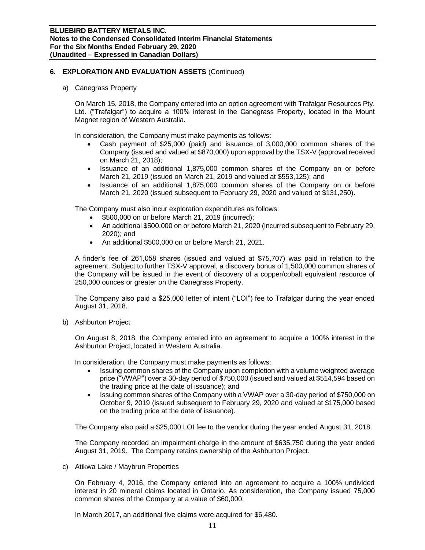# **6. EXPLORATION AND EVALUATION ASSETS** (Continued)

a) Canegrass Property

On March 15, 2018, the Company entered into an option agreement with Trafalgar Resources Pty. Ltd. ("Trafalgar") to acquire a 100% interest in the Canegrass Property, located in the Mount Magnet region of Western Australia.

In consideration, the Company must make payments as follows:

- Cash payment of \$25,000 (paid) and issuance of 3,000,000 common shares of the Company (issued and valued at \$870,000) upon approval by the TSX-V (approval received on March 21, 2018);
- Issuance of an additional 1,875,000 common shares of the Company on or before March 21, 2019 (issued on March 21, 2019 and valued at \$553,125); and
- Issuance of an additional 1,875,000 common shares of the Company on or before March 21, 2020 (issued subsequent to February 29, 2020 and valued at \$131,250).

The Company must also incur exploration expenditures as follows:

- \$500,000 on or before March 21, 2019 (incurred);
- An additional \$500,000 on or before March 21, 2020 (incurred subsequent to February 29, 2020); and
- An additional \$500,000 on or before March 21, 2021.

A finder's fee of 261,058 shares (issued and valued at \$75,707) was paid in relation to the agreement. Subject to further TSX-V approval, a discovery bonus of 1,500,000 common shares of the Company will be issued in the event of discovery of a copper/cobalt equivalent resource of 250,000 ounces or greater on the Canegrass Property.

The Company also paid a \$25,000 letter of intent ("LOI") fee to Trafalgar during the year ended August 31, 2018.

b) Ashburton Project

On August 8, 2018, the Company entered into an agreement to acquire a 100% interest in the Ashburton Project, located in Western Australia.

In consideration, the Company must make payments as follows:

- Issuing common shares of the Company upon completion with a volume weighted average price ("VWAP") over a 30-day period of \$750,000 (issued and valued at \$514,594 based on the trading price at the date of issuance); and
- Issuing common shares of the Company with a VWAP over a 30-day period of \$750,000 on October 9, 2019 (issued subsequent to February 29, 2020 and valued at \$175,000 based on the trading price at the date of issuance).

The Company also paid a \$25,000 LOI fee to the vendor during the year ended August 31, 2018.

The Company recorded an impairment charge in the amount of \$635,750 during the year ended August 31, 2019. The Company retains ownership of the Ashburton Project.

c) Atikwa Lake / Maybrun Properties

On February 4, 2016, the Company entered into an agreement to acquire a 100% undivided interest in 20 mineral claims located in Ontario. As consideration, the Company issued 75,000 common shares of the Company at a value of \$60,000.

In March 2017, an additional five claims were acquired for \$6,480.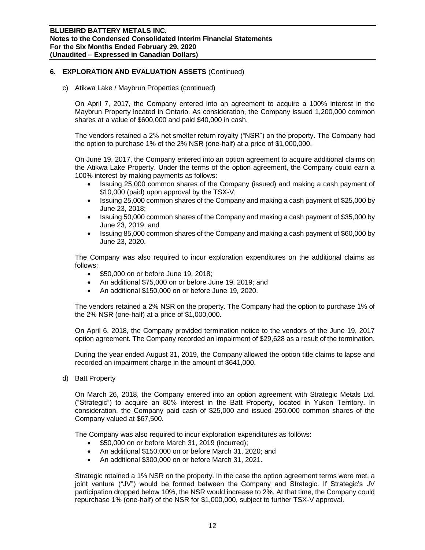# **6. EXPLORATION AND EVALUATION ASSETS** (Continued)

c) Atikwa Lake / Maybrun Properties (continued)

On April 7, 2017, the Company entered into an agreement to acquire a 100% interest in the Maybrun Property located in Ontario. As consideration, the Company issued 1,200,000 common shares at a value of \$600,000 and paid \$40,000 in cash.

The vendors retained a 2% net smelter return royalty ("NSR") on the property. The Company had the option to purchase 1% of the 2% NSR (one-half) at a price of \$1,000,000.

On June 19, 2017, the Company entered into an option agreement to acquire additional claims on the Atikwa Lake Property. Under the terms of the option agreement, the Company could earn a 100% interest by making payments as follows:

- Issuing 25,000 common shares of the Company (issued) and making a cash payment of \$10,000 (paid) upon approval by the TSX-V;
- Issuing 25,000 common shares of the Company and making a cash payment of \$25,000 by June 23, 2018;
- Issuing 50,000 common shares of the Company and making a cash payment of \$35,000 by June 23, 2019; and
- Issuing 85,000 common shares of the Company and making a cash payment of \$60,000 by June 23, 2020.

The Company was also required to incur exploration expenditures on the additional claims as follows:

- \$50,000 on or before June 19, 2018;
- An additional \$75,000 on or before June 19, 2019; and
- An additional \$150,000 on or before June 19, 2020.

The vendors retained a 2% NSR on the property. The Company had the option to purchase 1% of the 2% NSR (one-half) at a price of \$1,000,000.

On April 6, 2018, the Company provided termination notice to the vendors of the June 19, 2017 option agreement. The Company recorded an impairment of \$29,628 as a result of the termination.

During the year ended August 31, 2019, the Company allowed the option title claims to lapse and recorded an impairment charge in the amount of \$641,000.

d) Batt Property

On March 26, 2018, the Company entered into an option agreement with Strategic Metals Ltd. ("Strategic") to acquire an 80% interest in the Batt Property, located in Yukon Territory. In consideration, the Company paid cash of \$25,000 and issued 250,000 common shares of the Company valued at \$67,500.

The Company was also required to incur exploration expenditures as follows:

- \$50,000 on or before March 31, 2019 (incurred);
- An additional \$150,000 on or before March 31, 2020; and
- An additional \$300,000 on or before March 31, 2021.

Strategic retained a 1% NSR on the property. In the case the option agreement terms were met, a joint venture ("JV") would be formed between the Company and Strategic. If Strategic's JV participation dropped below 10%, the NSR would increase to 2%. At that time, the Company could repurchase 1% (one-half) of the NSR for \$1,000,000, subject to further TSX-V approval.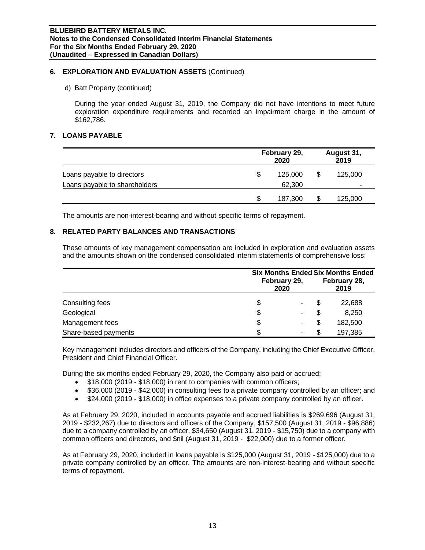## **6. EXPLORATION AND EVALUATION ASSETS** (Continued)

d) Batt Property (continued)

During the year ended August 31, 2019, the Company did not have intentions to meet future exploration expenditure requirements and recorded an impairment charge in the amount of \$162,786.

## **7. LOANS PAYABLE**

|                                                             |   | February 29,<br>2020 |    | August 31,<br>2019 |
|-------------------------------------------------------------|---|----------------------|----|--------------------|
| Loans payable to directors<br>Loans payable to shareholders | S | 125,000<br>62.300    | S  | 125,000            |
|                                                             | S | 187.300              | S. | 125,000            |

The amounts are non-interest-bearing and without specific terms of repayment.

# **8. RELATED PARTY BALANCES AND TRANSACTIONS**

These amounts of key management compensation are included in exploration and evaluation assets and the amounts shown on the condensed consolidated interim statements of comprehensive loss:

|                      | <b>Six Months Ended Six Months Ended</b> |   |         |  |  |  |
|----------------------|------------------------------------------|---|---------|--|--|--|
|                      | February 29,<br>2020                     |   |         |  |  |  |
| Consulting fees      | \$                                       |   | 22,688  |  |  |  |
| Geological           | \$<br>۰                                  | S | 8,250   |  |  |  |
| Management fees      | \$                                       | S | 182,500 |  |  |  |
| Share-based payments | ۰                                        |   | 197,385 |  |  |  |

Key management includes directors and officers of the Company, including the Chief Executive Officer, President and Chief Financial Officer.

During the six months ended February 29, 2020, the Company also paid or accrued:

- \$18,000 (2019 \$18,000) in rent to companies with common officers;
- \$36,000 (2019 \$42,000) in consulting fees to a private company controlled by an officer; and
- \$24,000 (2019 \$18,000) in office expenses to a private company controlled by an officer.

As at February 29, 2020, included in accounts payable and accrued liabilities is \$269,696 (August 31, 2019 - \$232,267) due to directors and officers of the Company, \$157,500 (August 31, 2019 - \$96,886) due to a company controlled by an officer, \$34,650 (August 31, 2019 - \$15,750) due to a company with common officers and directors, and \$nil (August 31, 2019 - \$22,000) due to a former officer.

As at February 29, 2020, included in loans payable is \$125,000 (August 31, 2019 - \$125,000) due to a private company controlled by an officer. The amounts are non-interest-bearing and without specific terms of repayment.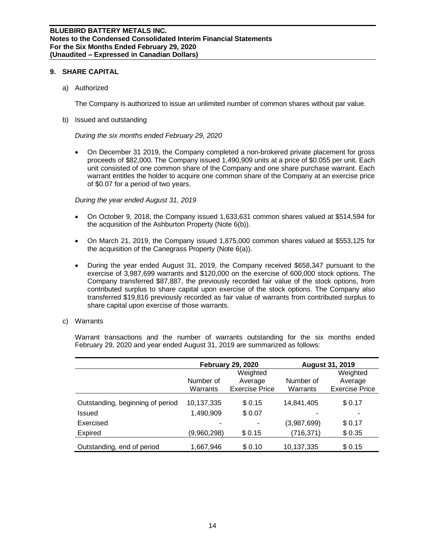## **9. SHARE CAPITAL**

a) Authorized

The Company is authorized to issue an unlimited number of common shares without par value.

b) Issued and outstanding

*During the six months ended February 29, 2020*

• On December 31 2019, the Company completed a non-brokered private placement for gross proceeds of \$82,000. The Company issued 1,490,909 units at a price of \$0.055 per unit. Each unit consisted of one common share of the Company and one share purchase warrant. Each warrant entitles the holder to acquire one common share of the Company at an exercise price of \$0.07 for a period of two years.

*During the year ended August 31, 2019*

- On October 9, 2018, the Company issued 1,633,631 common shares valued at \$514,594 for the acquisition of the Ashburton Property (Note 6(b)).
- On March 21, 2019, the Company issued 1,875,000 common shares valued at \$553,125 for the acquisition of the Canegrass Property (Note 6(a)).
- During the year ended August 31, 2019, the Company received \$658,347 pursuant to the exercise of 3,987,699 warrants and \$120,000 on the exercise of 600,000 stock options. The Company transferred \$87,887, the previously recorded fair value of the stock options, from contributed surplus to share capital upon exercise of the stock options. The Company also transferred \$19,816 previously recorded as fair value of warrants from contributed surplus to share capital upon exercise of those warrants.
- c) Warrants

Warrant transactions and the number of warrants outstanding for the six months ended February 29, 2020 and year ended August 31, 2019 are summarized as follows:

|                                  |             | <b>February 29, 2020</b> | <b>August 31, 2019</b> |                       |  |  |
|----------------------------------|-------------|--------------------------|------------------------|-----------------------|--|--|
|                                  |             | Weighted                 |                        | Weighted              |  |  |
|                                  | Number of   | Average                  | Number of              | Average               |  |  |
|                                  | Warrants    | <b>Exercise Price</b>    | Warrants               | <b>Exercise Price</b> |  |  |
| Outstanding, beginning of period | 10,137,335  | \$0.15                   | 14,841,405             | \$0.17                |  |  |
| Issued                           | 1,490,909   | \$0.07                   |                        |                       |  |  |
| Exercised                        |             |                          | (3,987,699)            | \$0.17                |  |  |
| Expired                          | (9,960,298) | \$0.15                   | (716, 371)             | \$0.35                |  |  |
| Outstanding, end of period       | 1,667,946   | \$0.10                   | 10,137,335             | \$0.15                |  |  |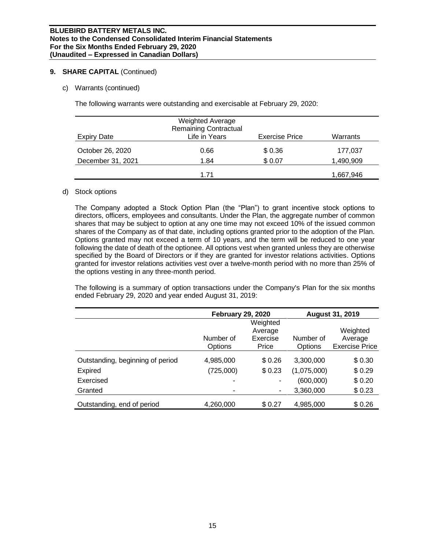## **9. SHARE CAPITAL** (Continued)

c) Warrants (continued)

The following warrants were outstanding and exercisable at February 29, 2020:

| Expiry Date       | <b>Weighted Average</b><br><b>Remaining Contractual</b><br>Life in Years | <b>Exercise Price</b> | Warrants  |
|-------------------|--------------------------------------------------------------------------|-----------------------|-----------|
| October 26, 2020  | 0.66                                                                     | \$0.36                | 177,037   |
| December 31, 2021 | 1.84                                                                     | \$0.07                | 1,490,909 |
|                   | 1.71                                                                     |                       | 1,667,946 |

## d) Stock options

The Company adopted a Stock Option Plan (the "Plan") to grant incentive stock options to directors, officers, employees and consultants. Under the Plan, the aggregate number of common shares that may be subject to option at any one time may not exceed 10% of the issued common shares of the Company as of that date, including options granted prior to the adoption of the Plan. Options granted may not exceed a term of 10 years, and the term will be reduced to one year following the date of death of the optionee. All options vest when granted unless they are otherwise specified by the Board of Directors or if they are granted for investor relations activities. Options granted for investor relations activities vest over a twelve-month period with no more than 25% of the options vesting in any three-month period.

The following is a summary of option transactions under the Company's Plan for the six months ended February 29, 2020 and year ended August 31, 2019:

|                                  | <b>February 29, 2020</b> |                          |             | <b>August 31, 2019</b> |
|----------------------------------|--------------------------|--------------------------|-------------|------------------------|
|                                  |                          | Weighted                 |             |                        |
|                                  |                          | Average                  |             | Weighted               |
|                                  | Number of                | Exercise                 | Number of   | Average                |
|                                  | Options                  | Price                    | Options     | <b>Exercise Price</b>  |
| Outstanding, beginning of period | 4,985,000                | \$0.26                   | 3,300,000   | \$0.30                 |
| Expired                          | (725,000)                | \$0.23                   | (1,075,000) | \$0.29                 |
| Exercised                        |                          | $\overline{\phantom{a}}$ | (600,000)   | \$0.20                 |
| Granted                          | ۰                        | ٠                        | 3,360,000   | \$0.23                 |
| Outstanding, end of period       | 4,260,000                | \$0.27                   | 4,985,000   | \$0.26                 |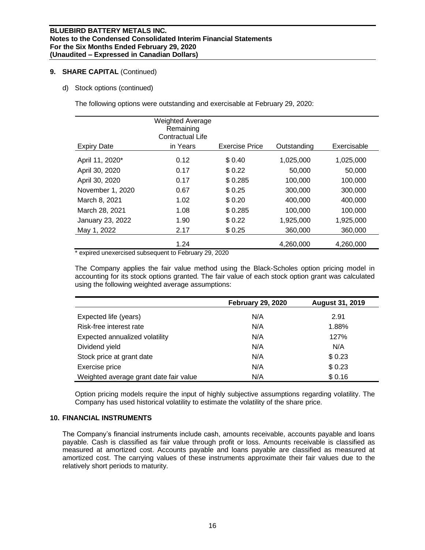## **9. SHARE CAPITAL** (Continued)

d) Stock options (continued)

The following options were outstanding and exercisable at February 29, 2020:

|                    | <b>Weighted Average</b><br>Remaining<br><b>Contractual Life</b> |                       |             |             |
|--------------------|-----------------------------------------------------------------|-----------------------|-------------|-------------|
| <b>Expiry Date</b> | in Years                                                        | <b>Exercise Price</b> | Outstanding | Exercisable |
| April 11, 2020*    | 0.12                                                            | \$0.40                | 1,025,000   | 1,025,000   |
| April 30, 2020     | 0.17                                                            | \$0.22                | 50,000      | 50,000      |
| April 30, 2020     | 0.17                                                            | \$0.285               | 100,000     | 100,000     |
| November 1, 2020   | 0.67                                                            | \$0.25                | 300,000     | 300,000     |
| March 8, 2021      | 1.02                                                            | \$0.20                | 400,000     | 400,000     |
| March 28, 2021     | 1.08                                                            | \$0.285               | 100,000     | 100,000     |
| January 23, 2022   | 1.90                                                            | \$0.22                | 1,925,000   | 1,925,000   |
| May 1, 2022        | 2.17                                                            | \$0.25                | 360,000     | 360,000     |
|                    | 1.24                                                            |                       | 4,260,000   | 4,260,000   |

\* expired unexercised subsequent to February 29, 2020

The Company applies the fair value method using the Black-Scholes option pricing model in accounting for its stock options granted. The fair value of each stock option grant was calculated using the following weighted average assumptions:

|                                        | <b>February 29, 2020</b> | <b>August 31, 2019</b> |
|----------------------------------------|--------------------------|------------------------|
| Expected life (years)                  | N/A                      | 2.91                   |
| Risk-free interest rate                | N/A                      | 1.88%                  |
| Expected annualized volatility         | N/A                      | 127%                   |
| Dividend yield                         | N/A                      | N/A                    |
| Stock price at grant date              | N/A                      | \$0.23                 |
| Exercise price                         | N/A                      | \$0.23                 |
| Weighted average grant date fair value | N/A                      | \$0.16                 |

Option pricing models require the input of highly subjective assumptions regarding volatility. The Company has used historical volatility to estimate the volatility of the share price.

## **10. FINANCIAL INSTRUMENTS**

The Company's financial instruments include cash, amounts receivable, accounts payable and loans payable. Cash is classified as fair value through profit or loss. Amounts receivable is classified as measured at amortized cost. Accounts payable and loans payable are classified as measured at amortized cost. The carrying values of these instruments approximate their fair values due to the relatively short periods to maturity.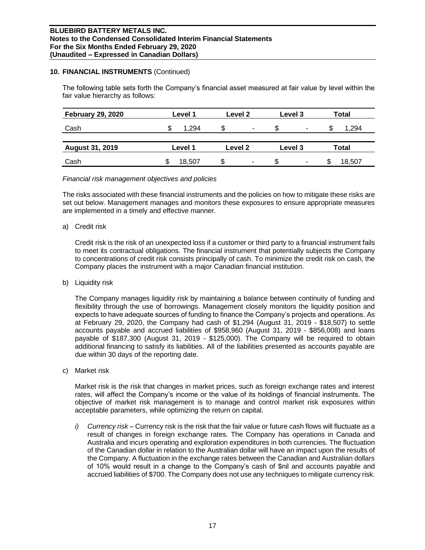## **10. FINANCIAL INSTRUMENTS** (Continued)

The following table sets forth the Company's financial asset measured at fair value by level within the fair value hierarchy as follows:

| <b>February 29, 2020</b> | Level 1 | Level 2                       | Level 3 | Total       |  |
|--------------------------|---------|-------------------------------|---------|-------------|--|
| Cash                     | 1.294   | S<br>$\overline{\phantom{a}}$ | S.<br>۰ | .294<br>\$. |  |
| <b>August 31, 2019</b>   | Level 1 | Level 2                       | Level 3 | Total       |  |
| Cash                     | 18.507  | \$                            | ж,<br>۰ | 18,507      |  |

## *Financial risk management objectives and policies*

The risks associated with these financial instruments and the policies on how to mitigate these risks are set out below. Management manages and monitors these exposures to ensure appropriate measures are implemented in a timely and effective manner.

## a) Credit risk

Credit risk is the risk of an unexpected loss if a customer or third party to a financial instrument fails to meet its contractual obligations. The financial instrument that potentially subjects the Company to concentrations of credit risk consists principally of cash. To minimize the credit risk on cash, the Company places the instrument with a major Canadian financial institution.

b) Liquidity risk

The Company manages liquidity risk by maintaining a balance between continuity of funding and flexibility through the use of borrowings. Management closely monitors the liquidity position and expects to have adequate sources of funding to finance the Company's projects and operations. As at February 29, 2020, the Company had cash of \$1,294 (August 31, 2019 - \$18,507) to settle accounts payable and accrued liabilities of \$958,960 (August 31, 2019 - \$856,008) and loans payable of \$187,300 (August 31, 2019 - \$125,000). The Company will be required to obtain additional financing to satisfy its liabilities. All of the liabilities presented as accounts payable are due within 30 days of the reporting date.

c) Market risk

Market risk is the risk that changes in market prices, such as foreign exchange rates and interest rates, will affect the Company's income or the value of its holdings of financial instruments. The objective of market risk management is to manage and control market risk exposures within acceptable parameters, while optimizing the return on capital.

*i) Currency risk –* Currency risk is the risk that the fair value or future cash flows will fluctuate as a result of changes in foreign exchange rates. The Company has operations in Canada and Australia and incurs operating and exploration expenditures in both currencies. The fluctuation of the Canadian dollar in relation to the Australian dollar will have an impact upon the results of the Company. A fluctuation in the exchange rates between the Canadian and Australian dollars of 10% would result in a change to the Company's cash of \$nil and accounts payable and accrued liabilities of \$700. The Company does not use any techniques to mitigate currency risk.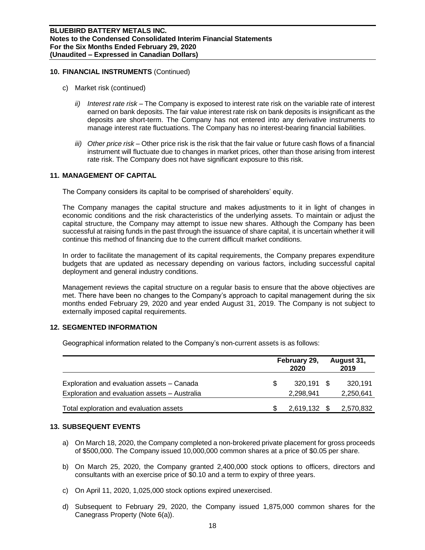## **10. FINANCIAL INSTRUMENTS** (Continued)

- c) Market risk (continued)
	- *ii) Interest rate risk –* The Company is exposed to interest rate risk on the variable rate of interest earned on bank deposits. The fair value interest rate risk on bank deposits is insignificant as the deposits are short-term. The Company has not entered into any derivative instruments to manage interest rate fluctuations. The Company has no interest-bearing financial liabilities.
	- *iii) Other price risk –* Other price risk is the risk that the fair value or future cash flows of a financial instrument will fluctuate due to changes in market prices, other than those arising from interest rate risk. The Company does not have significant exposure to this risk.

# **11. MANAGEMENT OF CAPITAL**

The Company considers its capital to be comprised of shareholders' equity.

The Company manages the capital structure and makes adjustments to it in light of changes in economic conditions and the risk characteristics of the underlying assets. To maintain or adjust the capital structure, the Company may attempt to issue new shares. Although the Company has been successful at raising funds in the past through the issuance of share capital, it is uncertain whether it will continue this method of financing due to the current difficult market conditions.

In order to facilitate the management of its capital requirements, the Company prepares expenditure budgets that are updated as necessary depending on various factors, including successful capital deployment and general industry conditions.

Management reviews the capital structure on a regular basis to ensure that the above objectives are met. There have been no changes to the Company's approach to capital management during the six months ended February 29, 2020 and year ended August 31, 2019. The Company is not subject to externally imposed capital requirements.

## **12. SEGMENTED INFORMATION**

Geographical information related to the Company's non-current assets is as follows:

|                                                                                             | February 29,<br>2020 |                         |  | August 31,<br>2019   |  |
|---------------------------------------------------------------------------------------------|----------------------|-------------------------|--|----------------------|--|
| Exploration and evaluation assets - Canada<br>Exploration and evaluation assets - Australia |                      | 320.191 \$<br>2,298,941 |  | 320,191<br>2,250,641 |  |
| Total exploration and evaluation assets                                                     |                      | 2,619,132               |  | 2,570,832            |  |

## **13. SUBSEQUENT EVENTS**

- a) On March 18, 2020, the Company completed a non-brokered private placement for gross proceeds of \$500,000. The Company issued 10,000,000 common shares at a price of \$0.05 per share.
- b) On March 25, 2020, the Company granted 2,400,000 stock options to officers, directors and consultants with an exercise price of \$0.10 and a term to expiry of three years.
- c) On April 11, 2020, 1,025,000 stock options expired unexercised.
- d) Subsequent to February 29, 2020, the Company issued 1,875,000 common shares for the Canegrass Property (Note 6(a)).